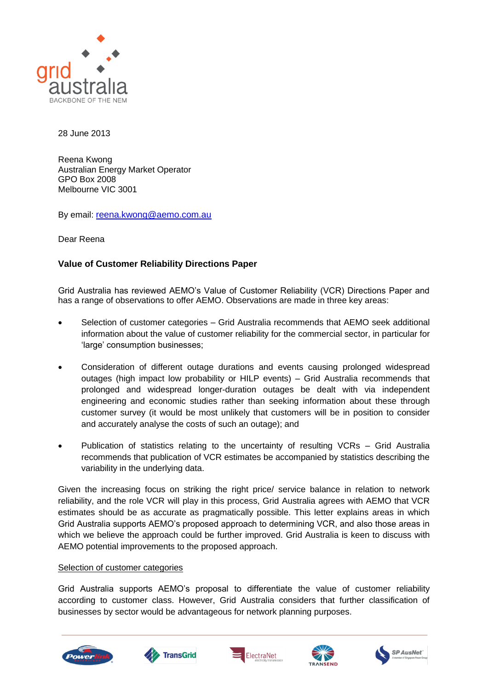

28 June 2013

Reena Kwong Australian Energy Market Operator GPO Box 2008 Melbourne VIC 3001

By email: [reena.kwong@aemo.com.au](mailto:reena.kwong@aemo.com.au)

Dear Reena

## **Value of Customer Reliability Directions Paper**

Grid Australia has reviewed AEMO's Value of Customer Reliability (VCR) Directions Paper and has a range of observations to offer AEMO. Observations are made in three key areas:

- Selection of customer categories Grid Australia recommends that AEMO seek additional information about the value of customer reliability for the commercial sector, in particular for 'large' consumption businesses;
- Consideration of different outage durations and events causing prolonged widespread outages (high impact low probability or HILP events) – Grid Australia recommends that prolonged and widespread longer-duration outages be dealt with via independent engineering and economic studies rather than seeking information about these through customer survey (it would be most unlikely that customers will be in position to consider and accurately analyse the costs of such an outage); and
- Publication of statistics relating to the uncertainty of resulting VCRs Grid Australia recommends that publication of VCR estimates be accompanied by statistics describing the variability in the underlying data.

Given the increasing focus on striking the right price/ service balance in relation to network reliability, and the role VCR will play in this process, Grid Australia agrees with AEMO that VCR estimates should be as accurate as pragmatically possible. This letter explains areas in which Grid Australia supports AEMO's proposed approach to determining VCR, and also those areas in which we believe the approach could be further improved. Grid Australia is keen to discuss with AEMO potential improvements to the proposed approach.

## Selection of customer categories

Grid Australia supports AEMO's proposal to differentiate the value of customer reliability according to customer class. However, Grid Australia considers that further classification of businesses by sector would be advantageous for network planning purposes.









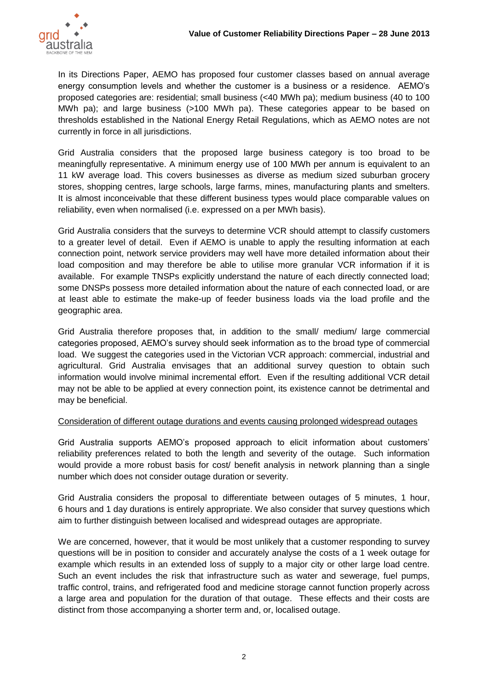

In its Directions Paper, AEMO has proposed four customer classes based on annual average energy consumption levels and whether the customer is a business or a residence. AEMO's proposed categories are: residential; small business (<40 MWh pa); medium business (40 to 100 MWh pa); and large business (>100 MWh pa). These categories appear to be based on thresholds established in the National Energy Retail Regulations, which as AEMO notes are not currently in force in all jurisdictions.

Grid Australia considers that the proposed large business category is too broad to be meaningfully representative. A minimum energy use of 100 MWh per annum is equivalent to an 11 kW average load. This covers businesses as diverse as medium sized suburban grocery stores, shopping centres, large schools, large farms, mines, manufacturing plants and smelters. It is almost inconceivable that these different business types would place comparable values on reliability, even when normalised (i.e. expressed on a per MWh basis).

Grid Australia considers that the surveys to determine VCR should attempt to classify customers to a greater level of detail. Even if AEMO is unable to apply the resulting information at each connection point, network service providers may well have more detailed information about their load composition and may therefore be able to utilise more granular VCR information if it is available. For example TNSPs explicitly understand the nature of each directly connected load; some DNSPs possess more detailed information about the nature of each connected load, or are at least able to estimate the make-up of feeder business loads via the load profile and the geographic area.

Grid Australia therefore proposes that, in addition to the small/ medium/ large commercial categories proposed, AEMO's survey should seek information as to the broad type of commercial load. We suggest the categories used in the Victorian VCR approach: commercial, industrial and agricultural. Grid Australia envisages that an additional survey question to obtain such information would involve minimal incremental effort. Even if the resulting additional VCR detail may not be able to be applied at every connection point, its existence cannot be detrimental and may be beneficial.

## Consideration of different outage durations and events causing prolonged widespread outages

Grid Australia supports AEMO's proposed approach to elicit information about customers' reliability preferences related to both the length and severity of the outage. Such information would provide a more robust basis for cost/ benefit analysis in network planning than a single number which does not consider outage duration or severity.

Grid Australia considers the proposal to differentiate between outages of 5 minutes, 1 hour, 6 hours and 1 day durations is entirely appropriate. We also consider that survey questions which aim to further distinguish between localised and widespread outages are appropriate.

We are concerned, however, that it would be most unlikely that a customer responding to survey questions will be in position to consider and accurately analyse the costs of a 1 week outage for example which results in an extended loss of supply to a major city or other large load centre. Such an event includes the risk that infrastructure such as water and sewerage, fuel pumps, traffic control, trains, and refrigerated food and medicine storage cannot function properly across a large area and population for the duration of that outage. These effects and their costs are distinct from those accompanying a shorter term and, or, localised outage.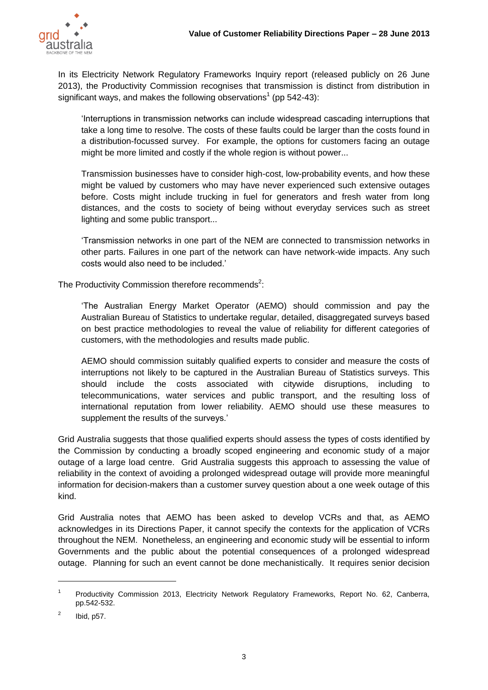

In its Electricity Network Regulatory Frameworks Inquiry report (released publicly on 26 June 2013), the Productivity Commission recognises that transmission is distinct from distribution in significant ways, and makes the following observations<sup>1</sup> (pp 542-43):

'Interruptions in transmission networks can include widespread cascading interruptions that take a long time to resolve. The costs of these faults could be larger than the costs found in a distribution-focussed survey. For example, the options for customers facing an outage might be more limited and costly if the whole region is without power...

Transmission businesses have to consider high-cost, low-probability events, and how these might be valued by customers who may have never experienced such extensive outages before. Costs might include trucking in fuel for generators and fresh water from long distances, and the costs to society of being without everyday services such as street lighting and some public transport...

'Transmission networks in one part of the NEM are connected to transmission networks in other parts. Failures in one part of the network can have network-wide impacts. Any such costs would also need to be included.'

The Productivity Commission therefore recommends<sup>2</sup>:

'The Australian Energy Market Operator (AEMO) should commission and pay the Australian Bureau of Statistics to undertake regular, detailed, disaggregated surveys based on best practice methodologies to reveal the value of reliability for different categories of customers, with the methodologies and results made public.

AEMO should commission suitably qualified experts to consider and measure the costs of interruptions not likely to be captured in the Australian Bureau of Statistics surveys. This should include the costs associated with citywide disruptions, including to telecommunications, water services and public transport, and the resulting loss of international reputation from lower reliability. AEMO should use these measures to supplement the results of the surveys.'

Grid Australia suggests that those qualified experts should assess the types of costs identified by the Commission by conducting a broadly scoped engineering and economic study of a major outage of a large load centre. Grid Australia suggests this approach to assessing the value of reliability in the context of avoiding a prolonged widespread outage will provide more meaningful information for decision-makers than a customer survey question about a one week outage of this kind.

Grid Australia notes that AEMO has been asked to develop VCRs and that, as AEMO acknowledges in its Directions Paper, it cannot specify the contexts for the application of VCRs throughout the NEM. Nonetheless, an engineering and economic study will be essential to inform Governments and the public about the potential consequences of a prolonged widespread outage. Planning for such an event cannot be done mechanistically. It requires senior decision

 $\overline{a}$ 

<sup>1</sup> Productivity Commission 2013, Electricity Network Regulatory Frameworks, Report No. 62, Canberra, pp.542-532.

<sup>2</sup> Ibid, p57.